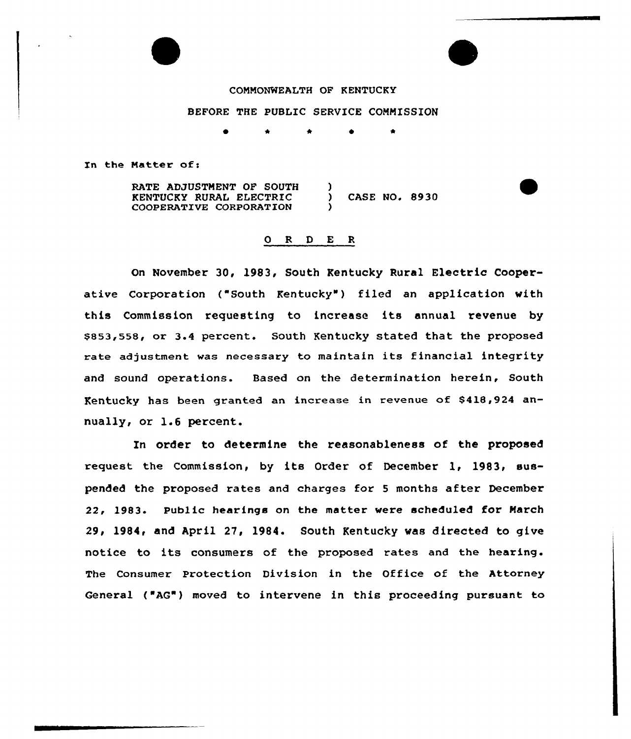# COMMONWEALTH OF KENTUCKY

## BEFORE THE PUBLIC SERVICE COMMISSION

\* \* 0

Zn the Matter of:

RATE ADJUSTMENT OF SOUTH KENTUCKY RURAL ELECTRIC COOPERATIVE CORPORATION ) ) CASE NO. 8930 )

#### ORDER

On November 30, 1983, South Kentucky Rural Electric Cooperative Corporation ("South Kentucky") filed an application with this Commission requesting to increase its annual revenue by \$853,558, or 3.4 percent. South Kentucky stated that the proposed rate adjustment was necessary to maintain its financial integrity and sound operations. Based on the determination herein, South Kentucky has been granted an increase in revenue of \$418,924 annually, or 1.6 percent.

In order to determine the reasonableness of the proposed request the Commission, by its Order of December 1, 1983, suspended the proposed rates and charges for <sup>5</sup> months after December 22, 1983. Public hearings on the matter were scheduled for Narch 29, 1984, and April 27, 1984. South Kentucky was directed to give notice to its consumers of the proposed rates and the hearing. The Consumer Protection Division in the Office of the Attorney General ("AG") moved to intervene in this proceeding pursuant to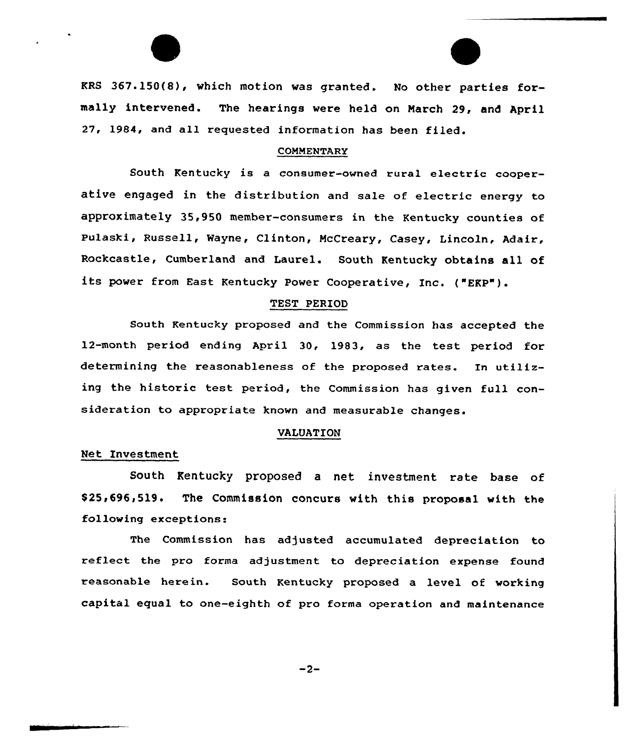KRS 367.150(8), which motion was granted. No other parties formally intervened. The hearings were held on March 29, and April 27, 1984, and all requested information has been filed.

#### COMMENTARY

South Kentucky is <sup>a</sup> consumer-owned rural electric cooperative engaged in the distribution and sale of electric energy to approximately 35,950 member-consumers in the Kentucky counties of Pulaski, Russell, Wayne, Clinton, NcCreary, Casey, Lincoln, Adaix, Rockcastle, Cumberland and Laurel. South Kentucky obtains all of its power from East Kentucky Power Cooperative, Inc. ("EKP").

#### TEST PERIOD

South Kentucky proposed and the Commission has accepted the 12-month period ending April 30, 1983, as the test period for determining the reasonableness of the proposed rates. In utilizing the historic test period, the Commission has given full consideration to appropriate known and measurable changes.

## VALUATION

#### Net Investment

South Kentucky proposed a net investment rate base of \$25,696,519. The Commission concurs with this proposal with the following exceptions:

The Commission has adjusted accumulated depreciation to reflect the pro forma adjustment to depreciation expense found reasonable herein. South Kentucky proposed a level of working capital equal to one-eighth of pro forma operation and maintenance

 $-2-$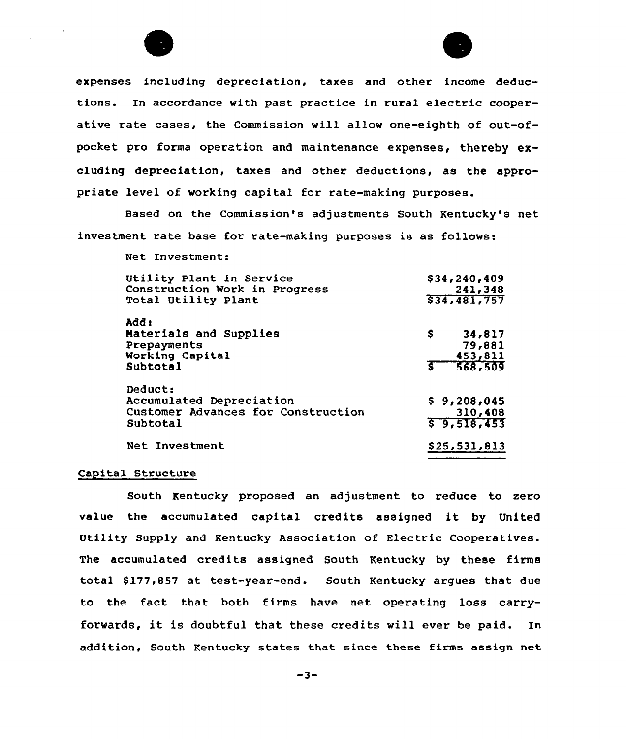



Based on the Commission's adjustments South Kentucky's net investment rate base for rate-making purposes is as follows:

Net Investment:

| Utility Plant in Service                                                              | \$34, 240, 409                        |
|---------------------------------------------------------------------------------------|---------------------------------------|
| Construction Work in Progress                                                         | 241,348                               |
| Total Utility Plant                                                                   | \$34,481,757                          |
| Add:                                                                                  | \$.                                   |
| Materials and Supplies                                                                | 34,817                                |
| Prepayments                                                                           | 79,881                                |
| Working Capital                                                                       | 453,811                               |
| Subtotal                                                                              | 5 568,509                             |
| Deduct:<br>Accumulated Depreciation<br>Customer Advances for Construction<br>Subtotal | \$9,208,045<br>310,408<br>\$9,518,453 |
| Net Investment                                                                        | \$25,531,813                          |

## Capital Structure

South Kentucky proposed an adjustment to reduce to zero value the accumulated capital credits assigned it by United Utility Supply and Kentucky Association of Electric Cooperatives. The accumulated credits assigned South Kentucky by these firms total \$177,857 at test-year-end. South Kentucky argues that due to the fact that both firms have net operating loss carryforwards, it is doubtful that these credits vill ever be paid. In addition, South Kentucky states that: since these firms assign net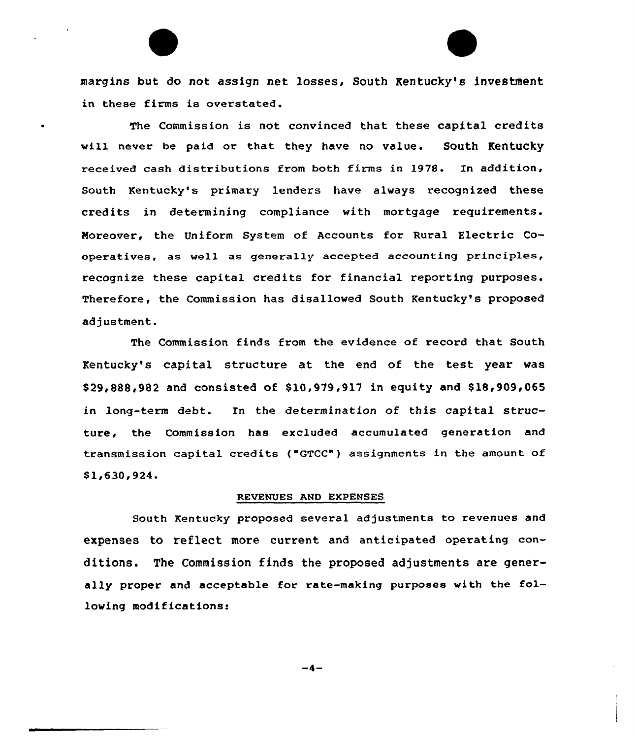margins but do not assign net losses, South Kentucky's investment in these firms is overstated.

The Commission is not convinced that these capital credits will never be paid or that they have no value. South Kentucky received cash distributions from both firms in 1978. In addition, South Kentucky's primary lenders have always recognized these credits in determining compliance with mortgage requirements. Noreover, the Uniform System of Accounts for Rural Electric Cooperatives, as well as generally accepted accounting principles, recognize these capital credits for financial reporting purposes. Therefore, the Commission has disallowed South Kentucky's proposed adjustment.

The Commission finds from the evidence of record that South Kentucky's capital structure at the end of the test year was \$ 29,888,982 and consisted of \$ 10,979,917 in equity and 818,909,065 in long-term debt. In the determination of this capital structure, the Commission has excluded accumulated generation and transmission capital credits ("GTCC") assignments in the amount of  $$1,630,924.$ 

#### REVENUES AND EXPENSES

South Kentucky proposed several adjustments to revenues and expenses to reflect more current and anticipated operating conditions. The Commission finds the proposed adjustments are generally proper and acceptable for rate-making purposes with the following modifications:

 $-4-$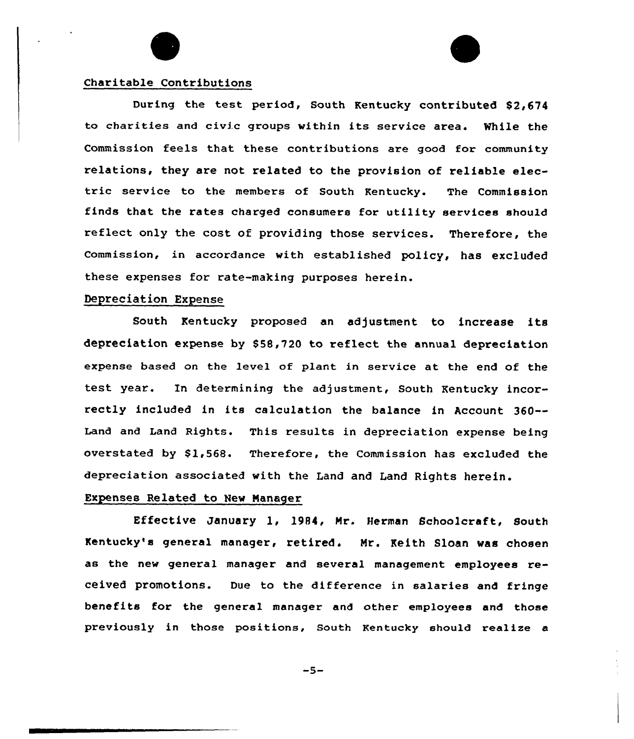# Charitable Contributions

During the test period, South Kentucky contributed \$2,674 to charities and civic groups within its service area. While the Commission feels that these contributions are good for community relations, they are not related to the provision of reliable electric service to the members of South Kentucky. The Commission finds that the rates charged consumers for utility services should reflect only the cost of providing those services. Therefore, the Commission, in accordance with established policy, has excluded these expenses for rate-making purposes herein.

## Depreciation Expense

South Kentucky proposed an adjustment to increase its depreciation expense by \$58,720 to reflect the annual depreciation expense based on the level of plant in service at the end of the test year. In determining the adjustment, South Kentucky incorrectly included in its calculation the balance in Account 360-- Land and Land Rights. This results in depreciation expense being overstated by  $$1,568$ . Therefore, the Commission has excluded the depreciation associated with the Land and Land Rights herein.

# Expenses Related to New Manager

Effective January 1, 1984, Mr. Herman Schoolcraft, South Kentucky's general manager, retired. Mr. Keith Sloan was chosen as the new general manager and several management employees received promotions. Due to the difference in salaries and fringe benefits for the general manager and other employees and those previously in those positions, South Kentucky should realize a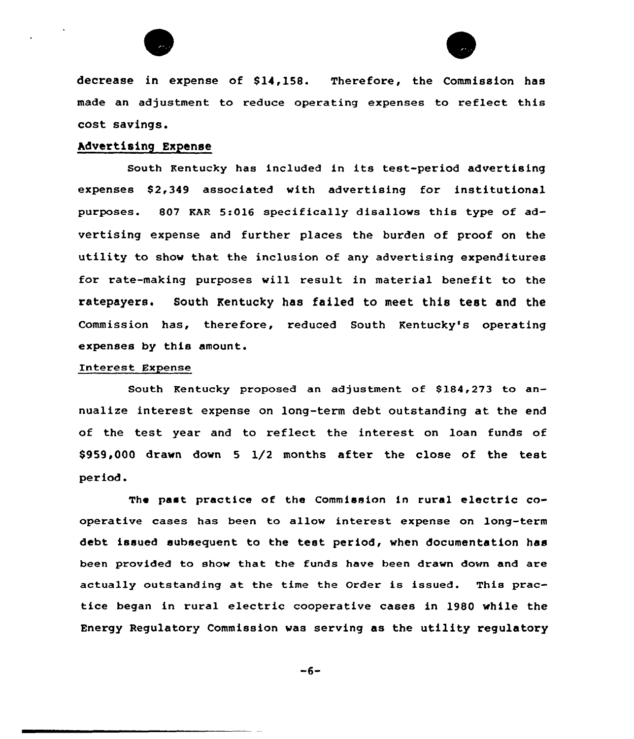



decrease in expense of 814,158. Therefore, the Commission has made an adjustment to reduce operating expenses to reflect this cost savings.

# hdvertising Expense

South Kentucky has included in its test-period advertising expenses \$2,349 associated with advertising for institutional purposes. 807 KAR 5:016 specifically disallows this type of advertising expense and further places the burden of proof on the utility to show that the inclusion of any advertising expenditures for rate-making purposes will result in material benefit to the ratepayers. South Kentucky has failed to meet this test and the Commission has, therefore, reduced South Kentucky's operating expenses by this amount.

#### Interest Expense

South Kentucky proposed an adjustment of 8184,273 to annualize interest expense on long-term debt outstanding at the end of the test year and to reflect the interest on loan funds of \$959,000 drawn down <sup>5</sup> 1/2 months after the close of the test period.

The past practice of the Commission in rural electric cooperative cases has been to allow interest expense on long-term debt issued subsequent to the test period, when documentation has been provided to show that the funds have been drawn down and are actually outstanding at the time the Order is issued. This practice began in rural electric cooperative cases in 1980 while the Energy Regulatory Commission was serving as the utility regulatory

 $-6-$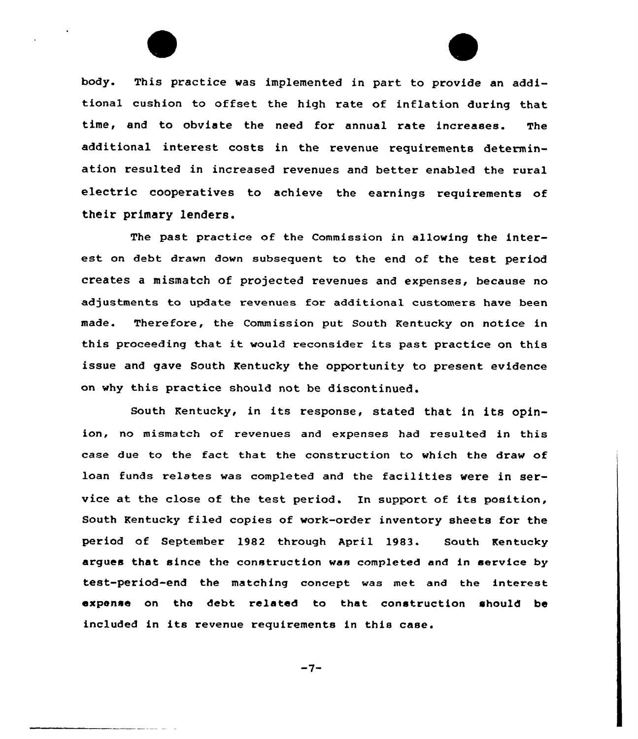

body. This practice was implemented in part to provide an additional cushion to offset the high rate of inflation during that time, and to obviate the need for annual rate increases. The additional interest costs in the revenue requirements determination resulted in increased revenues and better enabled the rural electric cooperatives to achieve the earnings requirements of their primary lenders.

The past practice of the Commission in allowing the interest on debt drawn down subsequent to the end of the test period creates a mismatch of projected revenues and expenses, because no adjustments to update revenues for additional customers have been made. Therefore, the Commission put South Kentucky on notice in this proceeding that it would reconsider its past practice on this issue and gave South Kentucky the opportunity to present evidence on why this practice should not be discontinued.

South Kentucky, in its response, stated that in its opinion, no mismatch of revenues and expenses had resulted in this case due to the fact that the construction to which the draw of loan funds relates was completed and the facilities were in service at the close of the test period. In support of its position, South Kentucky filed copies of work-order inventory sheets for the period of September 1982 through April 1983. South Kentucky argues that since the construction was completed and in service by test-period-end the matching concept was met and the interest expense on the debt related to that construction should be included in its revenue requirements in this case.

 $-7-$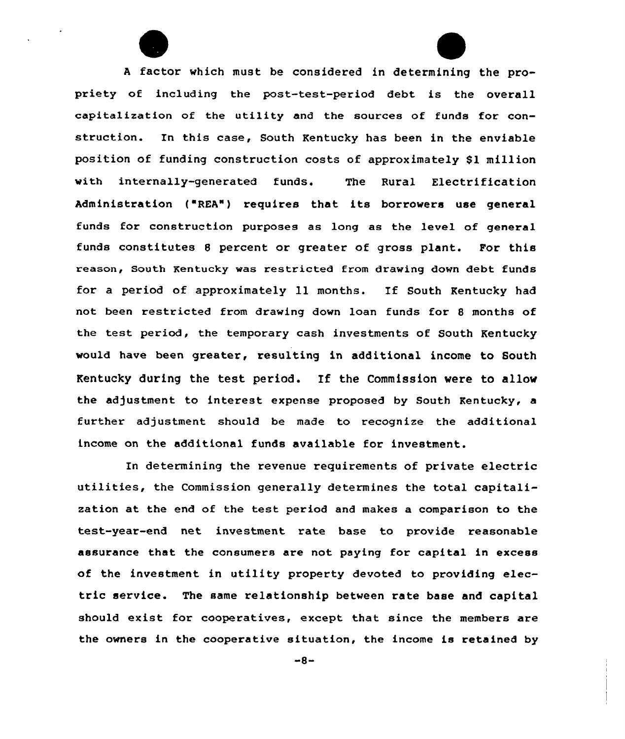<sup>A</sup> factor which must be considered in determining the propriety of including the post-test-period debt is the overall capitalization of the utility and the sources of funds for construction. In this case, South Kentucky has been in the enviable position of funding construction costs of approximately \$1 million with internally-generated funds. The Rural Electrification Administration ('REA") requires that its borrowers use general funds for construction purposes as long as the level of general funds constitutes <sup>8</sup> percent or greater of gross plant. For this reason, south Kentucky was restricted from drawing down debt funds for <sup>a</sup> period of approximately 11 months. If South Kentucky had not been restricted from drawing down loan funds for <sup>8</sup> months of the test period, the temporary cash investments of South Kentucky would have been greater, resulting in additional income to South Kentucky during the test period. If the Commission vere to allow the adjustment to interest expense proposed by South Kentucky, a further adjustment should be made to recognize the additional income on the additional funds available for investment.

In determining the revenue requirements of private electric utilities, the Commission generally determines the total capitalization at the end of the test period and makes a comparison to the test-year-end net investment rate base to provide reasonable assurance that the consumers are not paying for capital in excess of the investment in utility property devoted to providing electric service. The same relationship between rate base and capital should exist for cooperatives, except that since the members are the owners in the cooperative situation, the income is retained by

 $-8-$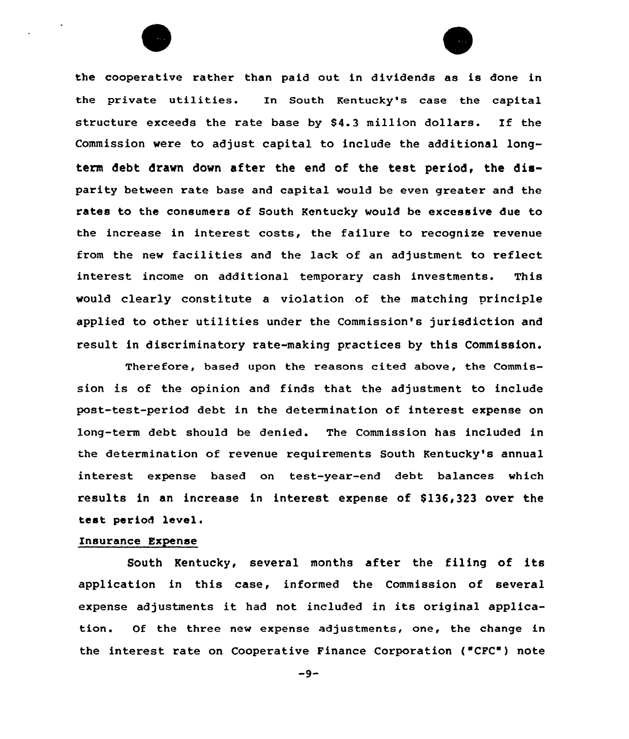the cooperative rather than paid out in dividends as is done in the private utilities. In South Kentucky's case the capital structure exceeds the rate base by 84.3 million dollars. If the Commission were to adjust capital to include the additional longterm debt drawn down after the end of the test period, the disparity between rate base and capital would be even greater and the rates to the consumers of South Kentucky would be excessive due to the increase in interest costs, the failure to recognize revenue from the new facilities and the lack of an adjustment to reflect interest income on additional temporary cash investments. This would clearly constitute a violation of the matching principle applied to othex utilities undex the Commission's jurisdiction and xesult in discriminatoxy xate-making practices by this Commission.

Therefore, based upon the reasons cited above, the Commission is of the opinion and finds that the adjustment to include past-test-period debt in the determination of interest expense on long-term debt should be denied. The Commission has included in the determination of revenue xequirements South Kentucky's annual interest expense based on test-year-end debt balances which results in an increase in interest expense of \$136,323 over the test period level.

#### Insurance Expense

South Kentucky, several months after the filing of its application in this case, informed the Commission of several expense adjustments it had not included in its original application. Of the three new expense adjustments, one, the change in the interest rate on Cooperative Finance Corporation ("CFC") note

 $-9-$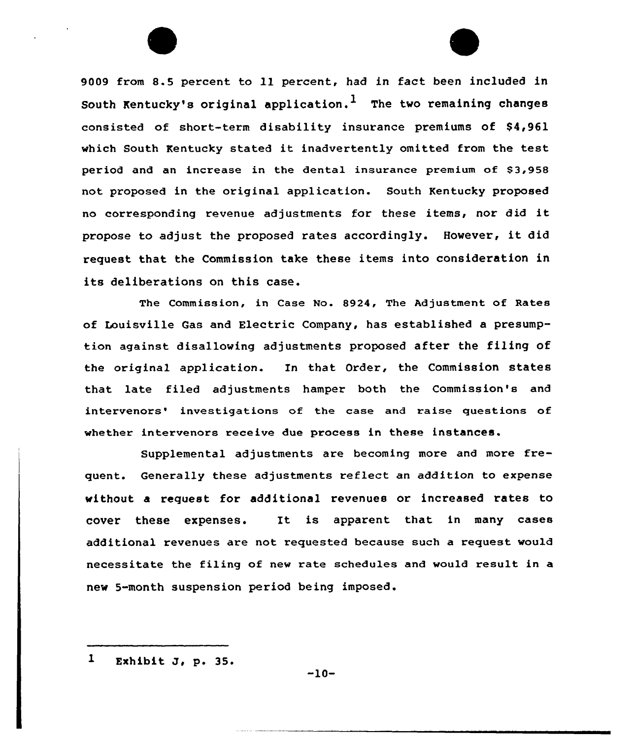<sup>9009</sup> from 8.5 percent to ll percent, had in fact been included in South Kentucky's original application.<sup>1</sup> The two remaining changes consisted of short-term disability insurance premiums of  $$4,961$ which South Kentucky stated it inadvertently omitted from the test period and an increase in the dental insurance premium of \$3,958 not proposed in the original application. South Kentucky proposed no corxesponding revenue adjustments for these items, nor did it propose to adjust the proposed rates accordingly. However, it did request that the Commission take these items into consideration in its deliberations on this case.

The Commission, in Case No. 8924, The Adjustment of Rates of Louisville Gas and Electric Company, has established a presumption against disallowing adjustments proposed after the filing of the original application. In that Order, the Commission states that late filed adjustments hampex both the Commission's and intervenors' investigations of the case and raise questions of whether intervenors receive due process in these instances.

Supplemental adjustments are becoming more and moxe frequent. Generally these adjustments reflect an addition to expense without a request for additional revenues or increased rates to cover these expenses. It is apparent that in many cases additional revenues are not requested because such a request would necessitate the filing of new rate schedules and would result in a new 5-month suspension period being imposed.

 $\mathbf{1}$ Exhibit J, p. 35.

-10-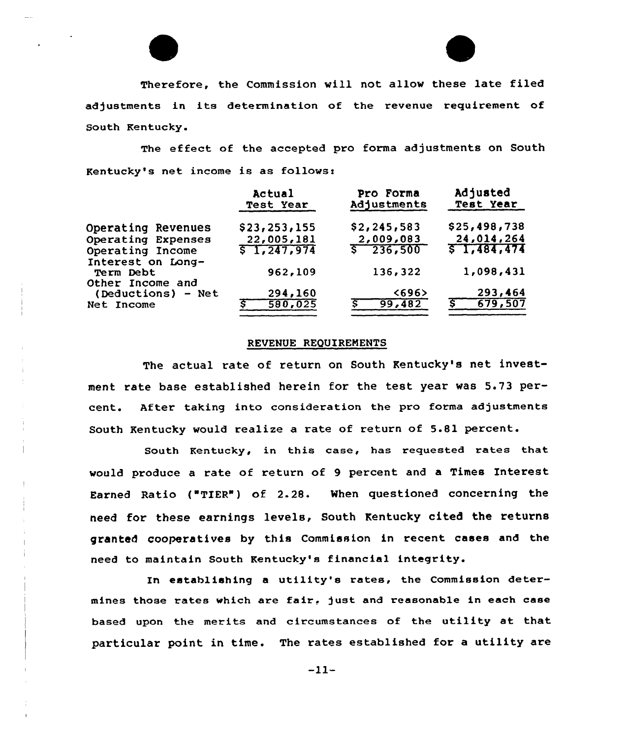

Therefore, the Commission will not allow these late filed adjustments in its determination of the revenue requirement of South Kentucky.

The effect of the accepted pro forma adjustments on South Kentucky's net income is as follows:

|                    | Actual<br>Test Year | Pro Forma<br>Adjustments | Adjusted<br><b>Test Year</b> |
|--------------------|---------------------|--------------------------|------------------------------|
| Operating Revenues | \$23, 253, 155      | \$2,245,583              | \$25,498,738                 |
| Operating Expenses | 22,005,181          | 2,009,083                | 24,014,264                   |
| Operating Income   | 51,247,974          | $\sqrt{236,500}$         | 51,484,474                   |
| Interest on Long-  |                     |                          |                              |
| Term Debt          | 962,109             | 136,322                  | 1,098,431                    |
| Other Income and   |                     |                          |                              |
| (Deductions) - Net | 294,160             | <696                     | 293,464                      |
| Net Income         | 580,025             | 99,482                   | 679,507                      |
|                    |                     |                          |                              |

#### REVENUE REQUIREMENTS

The actual rate of return on South Kentucky's net investment rate base established herein for the test year was 5.73 percent. After taking into consideration the pro forma adjustments South Kentucky would realize a rate of return of 5.81 percent.

South Kentucky, in this case, has requested rates that would produce a rate of return of 9 percent and a Times Interest Earned Ratio { TIER" ) of 2.28. When questioned concerning the need for these earnings levels, South Kentucky cited the returns granted cooperatives by this Commission in recent cases and the need to maintain South Kentucky's financial integrity.

In establishing <sup>a</sup> utility's rates, the Commission determines those rates which are fair, just and reasonable in each case based upon the merits and circumstances of the utility et that particular point in time. The rates established for a utility are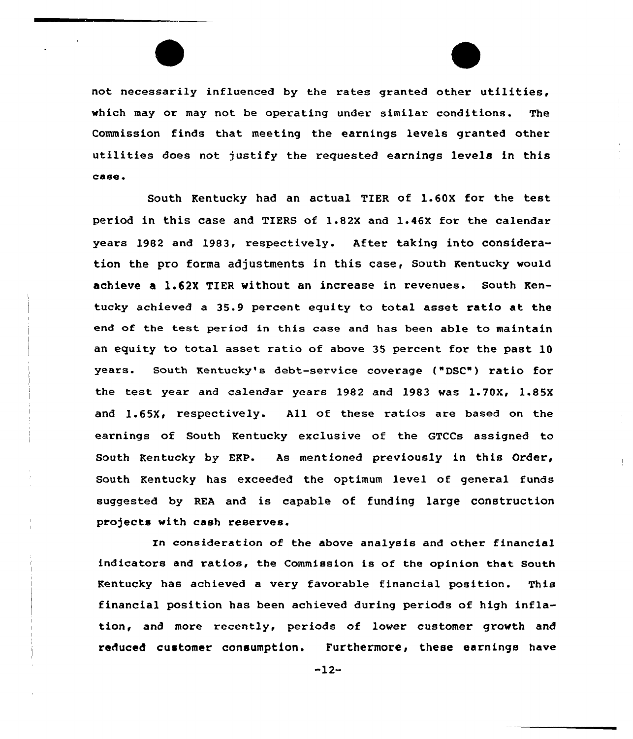not necessarily influenced by the rates granted other utilities, which may or may not be operating under similar conditions. The Commission finds that meeting the earnings levels granted other utilities does not justify the requested earnings levels in this case <sup>~</sup>

South Kentucky had an actual TIER of 1.60X for the test period in this case and TIERS of 1.82X and 1.46X for the calendar years 1982 and 1983, respectively. After taking into consideration the pro forma adjustments in this case, south Kentucky would achieve a L.62X TIER without an increase in revenues. South Kentucky achieved a 35.9 percent equity to total asset ratio at the end of the test period in this case and has been able to maintain an equity to total asset ratio of above 35 percent for the past 10 years. South Kentucky's debt-service coverage ("DSC") ratio for the test year and calendar years 1982 and 1983 was  $1.70X$ ,  $1.85X$ and 1.65X, respectively. All of these ratios are based on the earnings of South Kentucky exclusive of the GTCCs assigned to South Kentucky by ERP. As mentioned previously in this Order, South Kentucky has exceeded the optimum level of general funds suggested by REA and is capable of funding large construction projects with cash reserves.

In consideration of the above analysis and other financial indicators and ratios, the Commission is of the opinion that South Kentucky has achieved a very favorable financial position. This financial position has been achieved during periods of high inflation, and more recently, periods of lower customer growth and reduced customer consumption. Furthermore, these earnings have

-12-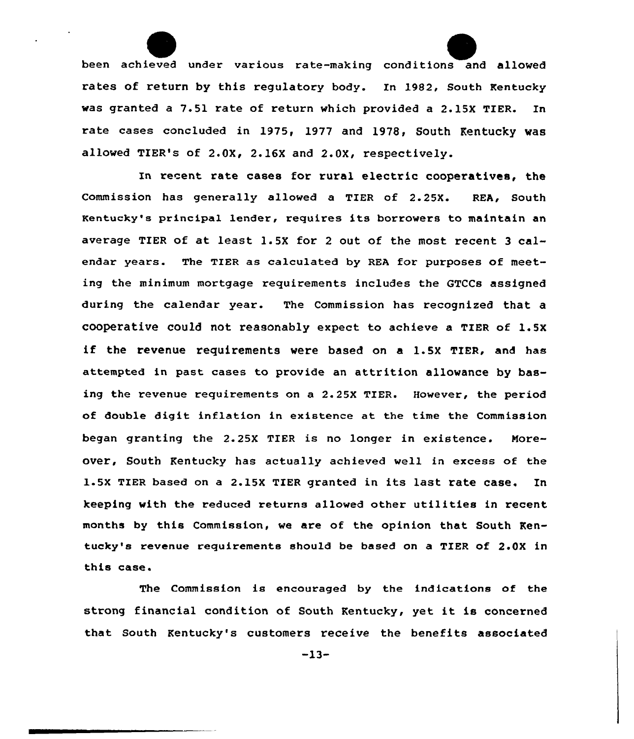been achieved under various rate-making conditions and allowed rates of return by this regulatory body. In 1982, South Kentucky was granted a 7.51 rate of return which provided a 2.15X TIER. In rate cases concluded in 1975, 1977 and 1978, South Kentucky was allowed TIER's of 2.0X, 2.16X and 2.0X, respectively.

In recent rate cases for rural electric cooperatives, the Commission has generally allowed a TIER of 2.25X. REA, South Kentucky's principal lender, requires its borrowers to maintain an average TIER of at least 1.5X for 2 out of the most recent 3 calendar years. The TIER as calculated by REA for purposes of meeting the minimum mortgage requirements includes the GTCCs assigned during the calendar year. The Commission has recognized that a cooperative could not reasonably expect to achieve a TIER of 1.5x if the revenue requirements were based on <sup>a</sup> 1.5X TIER, and has attempted in past cases to provide an attrition allowance by basing the revenue requirements on a 2.25X TIER. However, the period of double digit inflation in existence at the time the Commission began granting the 2.25X TIER is no longer in existence. Noreover, South Kentucky has actually achieved well in excess of the 1.5x TIER based on a 2.15X TIER granted in its last rate case. In keeping with the reduced returns allowed other utilities in recent months by this Commission, we are of the opinion that South Kentucky's revenue requirements should be based on a TIER of 2.0X in this case.

The Commission is encouraged by the indications of the strong financial condition of South Kentucky, yet it is concerned that south Kentucky's customers receive the benefits associated

-13-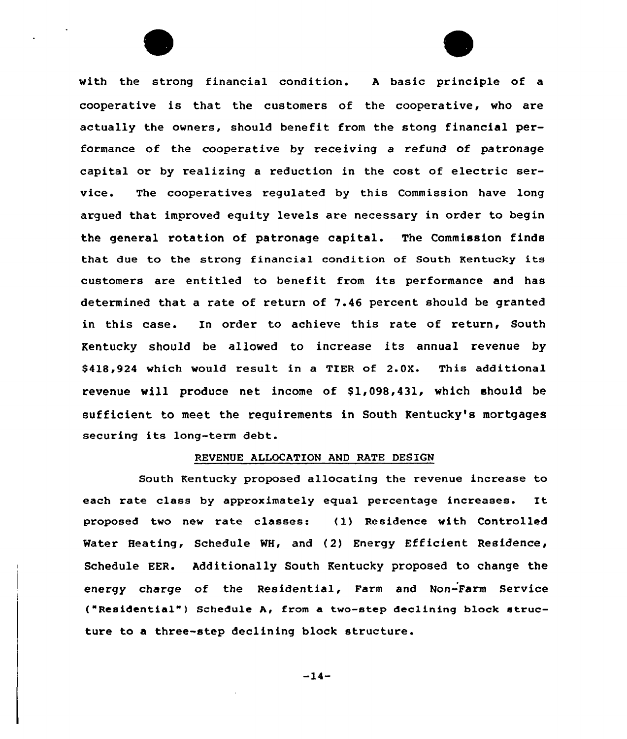with the strong financial condition. <sup>A</sup> basic principle of a cooperative is that the customexs of the cooperative, who are actually the owners, should benefit from the stong financial performance of the cooperative by receiving a refund of patronage capital or by realizing a reduction in the cost of electric service. The cooperatives regulated by this Commission have long argued that improved equity levels are necessary in order to begin the general rotation of patronage capital. The Commission finds that due to the strong financial condition of South Kentucky its customexs are entitled to benefit from its performance and has determined that a rate of return of 7.46 percent should be granted in this case. In order to achieve this rate of return, South Kentucky should be allowed to increase its annual revenue by 84lB,924 which would xesult in a TIER of 2.0X. This additional revenue will produce net income of \$1,098,431, which should be sufficient to meet the requirements in South Kentucky's mortgages securing its long-term debt.

## REVENUE ALLOCATION AND RATE DESIGN

South Kentucky proposed allocating the revenue increase to each rate class by approximately equal percentage increases. It proposed two new rate classes: (1) Residence with Controlled Mater Heating, Schedule NH, and (2) Energy Efficient Residence, Schedule EER. Additionally South Kentucky proposed to change the energy charge of the Residential, Farm and Non-Farm Service ("Residential" ) Schedule A, from a two-step declining block structure to a three-step declining block structure.

 $-14-$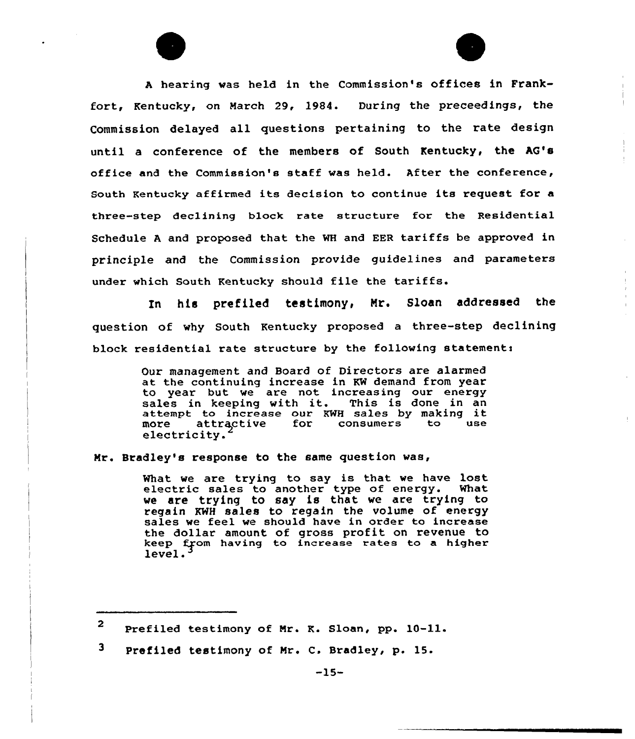<sup>A</sup> hearing was held in the Commission's offices in Frankfort, Kentucky, on March 29, 1984. During the preceedings, the Commission delayed all questions pertaining to the rate design until a conference of the members of South Kentucky, the AG's office and the Commission's staff was held. After the conference, South Kentucky affirmed its decision to continue its request for a three-step declining block rate structure for the Residential Schedule <sup>A</sup> and proposed that the WH and EER tariffs be approved in principle and the Commission provide guidelines and parameters under which South Kentucky should file the tariffs.

his prefiled testimony, Mr. Sloan addressed the In 1 question of why South Kentucky proposed a three-step declining block residential rate structure by the following statementi

> Our management and Board of Directors are alarmed at the continuing increase in KW demand from year to year but we are not increasing our energy sales in keeping with it. This is done in an sales in keeping with it. This is done in an<br>attempt to increase our KWH sales by making it more attractive for consumers to use more attractive<br>electricity.

Nr. Bradley's response to the same question was,

What we are trying to say is that we have lost electric sales to another type of energy. What we are trying to say is that we are trying to regain KWH sales to regain the volume of energy sales we feel we should have in order to increase the dollar amount of gross profit on revenue to keep from having to increase rates to a higher<br>level.<sup>3</sup>

3 Prefiled testimony of Mr. C. Bradley, p. 15.

 $2$  Prefiled testimony of Mr. K. Sloan, pp. 10-11.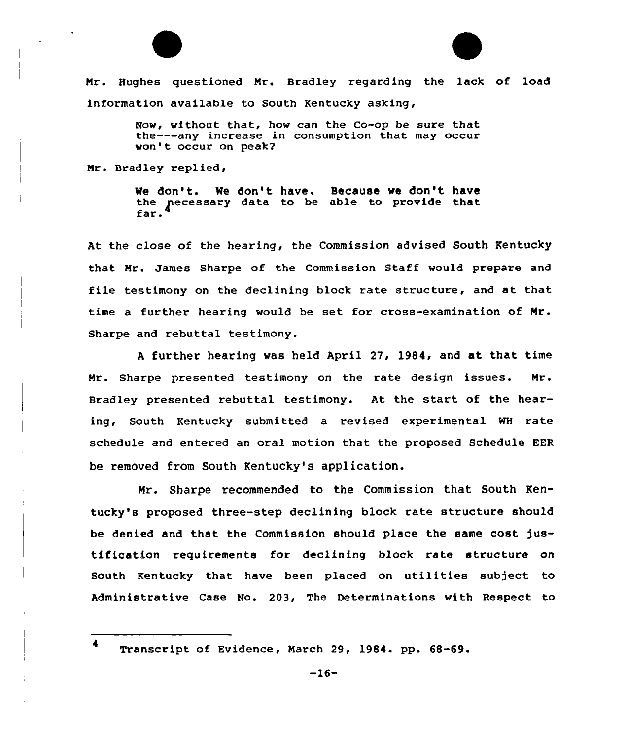



Now, without that, how can the Co-op be sure that the---any increase in consumption that may occur won't occur on peak?

Nr. Bradley replied,

We don't. We don't have. Because we don't have the necessary data to be able to provide that<br>far.

At the close of the hearing, the Commission advised South Kentucky that Nr. James Sharpe of the Commission Staff would prepare and file testimony on the declining block rate structure, and at that time a further hearing would be set for cross-examination of Nr. Sharpe and rebuttal testimony.

<sup>A</sup> further hearing was held April 27, 1984, and at that time Mr. Sharpe presented testimony on the rate design issues. Mr. Bradley presented rebuttal testimony. At the start of the hearing, South Kentucky submitted a revised experimental WH rate schedule and entered an oral motion that the proposed Schedule EER be removed from South Kentucky's application.

Nr. Sharpe recommended to the Commission that South Kentucky's proposed three-step declining block rate structure should be denied and that the Commission should place the same cost justification requirements for declining block rate structure on South Kentucky that have been placed on utilities subject to Administrative Case No. 203, The Determinations with Respect to

<sup>4</sup> Transcript of Evidence, March 29, 1984. pp. 68-69.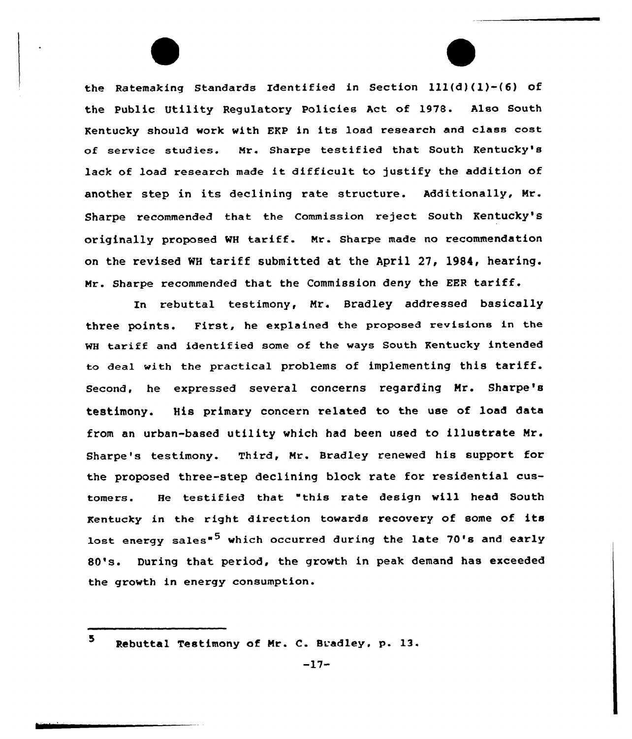the Ratemaking Standards Identified in Section ill(d) (l)-(6) of the Public Utility Regulatory Policies Act of 1978. Also South Kentucky should work with EKP in its load research and class cost of service studies. Nr. Sharpe testified that South Kentucky's lack of load research made it difficult to justify the addition of another step in its declining rate structure. Additionally, Mr. Sharpe recommended that the Commission reject South Kentucky's originally proposed WH tariff. Mr. Sharpe made no recommendation on the revised WH tariff submitted at the April 27, 1984, hearing. Mr. Sharpe recommended that the Commission deny the EER tariff.

In rebuttal testimony, Mr. Bradley addressed basically three points. First, he explained the proposed revisions in the WH tariff and identified some of the ways South Kentucky intended to deal with the practical problems of implementing this tariff. Second, he expressed several concerns regarding Mr. Sharpe's testimony. His primary concern related to the use of load data from an urban-based utility which had been used to illustrate Mr. Gharpe's testimony. Third, Nr. Bradley renewed his support for the proposed three-step declining block rate for residential customers. He testified that "this xate design will head South Kentucky in the right direction towards recovery of some of its lost energy sales<sup>\*5</sup> which occurred during the late 70's and early 80's. During that period, the growth in peak demand has exceeded the growth in energy consumption.

<sup>5</sup> Rebuttal Testimony of Mr. C. Bradley. p. 13.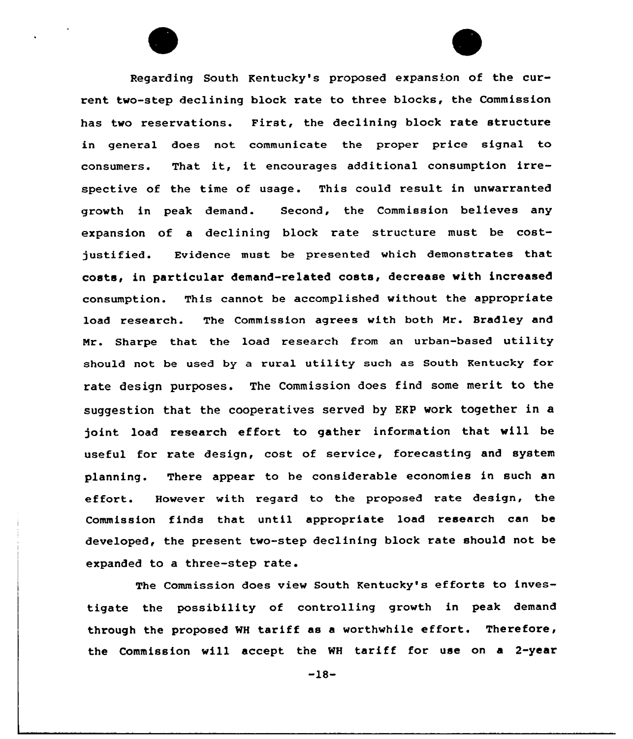Regarding South Kentucky's proposed expansion of the current two-step declining block rate to three blocks, the Commission has two reservations. First, the declining block rate structure in general does not communicate the proper price signal to consumers. That it, it encourages additional consumption irrespective of the time of usage. This could result in unwarranted growth in peak demand. Second, the Commission believes any expansion of a declining block rate structure must be costjustified. Evidence must be presented which demonstrates that costs, in particular demand-related costs, decrease with increased consumption. This cannot be accomplished without the appropriate load research. The Commission agrees with both Mr. Bradley and Nr. Sharpe that the load research from an urban-based utility should not be used by a rural utility such as South Kentucky for rate design purposes. The Commission does find some merit to the suggestion that the cooperatives served by EKP work together in a joint load research effort to gather information that will be useful for rate design, cost of service, forecasting and system planning. There appear to he considerable economies in such an effort. However with regard to the proposed rate design, the Commission finds that until appropriate load research can be developed, the present two-step declining block rate should not be expanded to a three-step rate.

The Commission does view South Kentucky's efforts to investigate the possibility of controlling growth in peak demand through the proposed WH tariff as <sup>a</sup> worthwhile effort. Therefore, the Commission will accept the WH tariff for use on a 2-year

-18-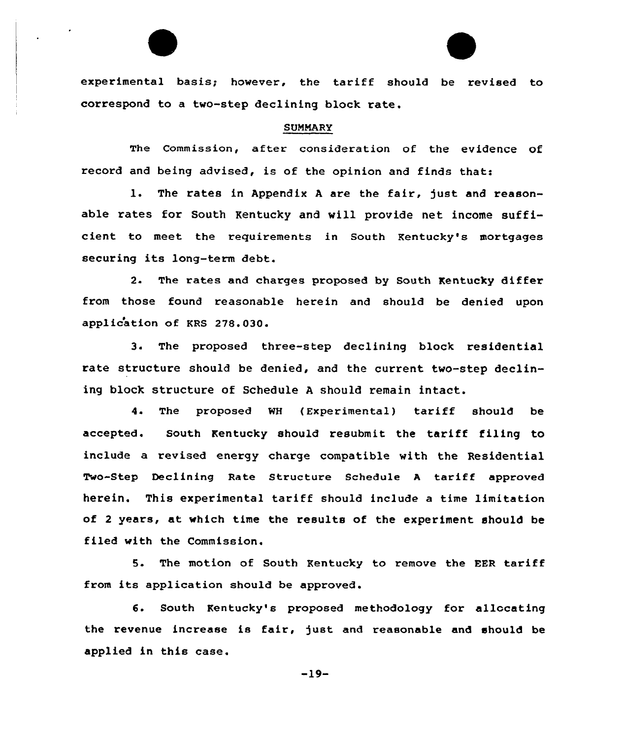experimental basis; however, the tariff should be revised to correspond to <sup>a</sup> two-step declining block rate.

#### SUMMARY

The Commission, after consideration of the evidence of record and being advised, is of the opinion and finds that:

1. The rates in Appendix <sup>A</sup> are the fair, just and reasonable rates for South Kentucky and will provide net income sufficient to meet the requirements in South Kentucky's mortgages securing its long-term debt.

2. The rates and charges proposed by South Kentucky differ fx'om those found xeasonable herein and should be denied upon application of KRS 278.030.

3. The pxoposed thxee-step declining block residential rate structure should be denied, and the current two-step declining block structure of Schedule <sup>A</sup> should remain intact.

4. The proposed NH (Experimental) tariff should be accepted. South Kentucky should resubmit the tariff filing to include a revised energy charge compatible with the Residential Two-Step Declining Rate Structure Schedule <sup>A</sup> tariff approved herein. This experimental tariff should include <sup>a</sup> time limitation of <sup>2</sup> years, at which time the results of the experiment should be filed with the Commission.

5. The motion of South Kentucky to remove the EER tariff from its application should be approved.

6. South Kentucky's proposed methodology for allocating the revenue increase is fair, just and reasonable and should be applied in this case.

-19-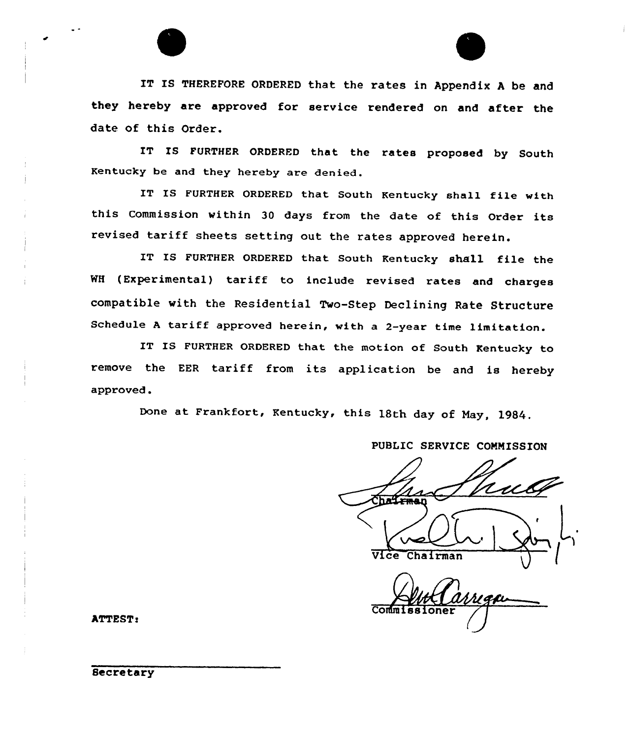IT IS THEREFORE ORDERED that the rates in Appendix <sup>A</sup> be and they hereby are approved for service rendered on and after the date of this Order.

IT IS FURTHER ORDERED that the rates proposed by South Kentucky be and they hereby are denied.

IT IS FURTHER ORDERED that South Kentucky shall file with this Commission within <sup>30</sup> days from the date of this Order its revised tariff sheets setting out the rates approved herein.

IT IS FURTHER ORDERED that South Kentucky shall file the WH (Experimental) tariff to include revised rates and charges compatible with the Residential Two-Step Declining Rate Structure Schedule <sup>A</sup> tariff approved herein, with <sup>a</sup> 2-year time limitation.

IT IS FURTHER ORDERED that the motion of South Kentucky to remove the EER tariff from its application be and is hereby approved.

Done at Frankfort, Kentucky, this 18th day of May, 1984.

## PUBIIC SERVICE COMMISSION

Vice Chairman

Commissione

ATTEST: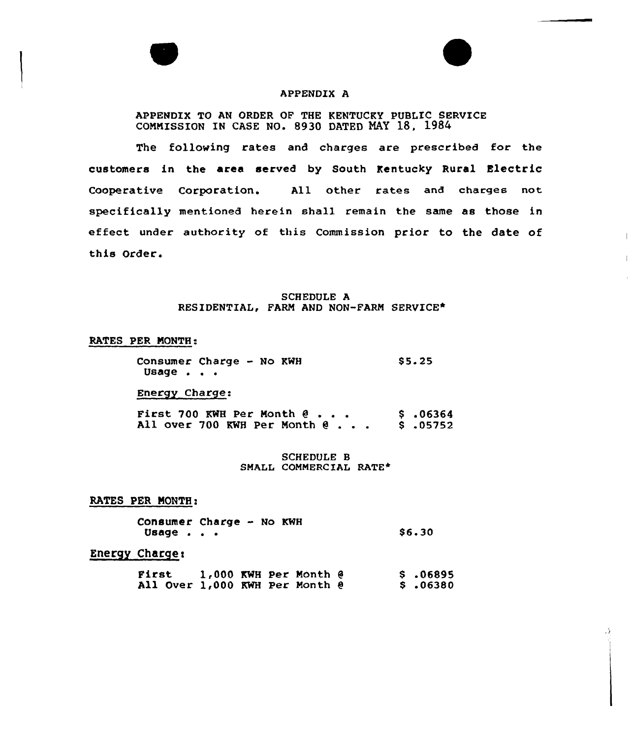

#### APPENDIX A

APPENDIX TO AN ORDER OF THE KENTUCKY PUBLIC SERVICE COMMISSION IN CASE NO. 8930 DATED NAY 18, 1984

The following rates and charges are prescribed for the customers in the area served by South Kentucky Rural Electric Cooperative Corporation. All other rates and charges not specifically mentioned herein shall remain the same as those in effect under authority of this Commission prior to the date of this Order.

 $\overline{\phantom{a}}$ 

## SCHEDULE A RESIDENTIAL, FARM AND NON-FARM SERVICE\*

#### RATES PER MONTH:

Consumer Charge - No KWH Usage  $\cdot$   $\cdot$   $\cdot$ 

Energy Charge:

First 700 KWH Per Month 9 .06364 All over <sup>700</sup> KWH Per Month <sup>0</sup> . . . <sup>8</sup> .05752

SCHEDULE B SMALL COMMERCIAL RATE\*

RATES PER NONTH:

Consumer Charge - No KWH Usage . . . \$ 6.30

Energy Charge<

First 1,000 KWH Per Month 9 All Over 1,000 KWH Per Month 0  $$.06895$  $\frac{1}{2}$  .06380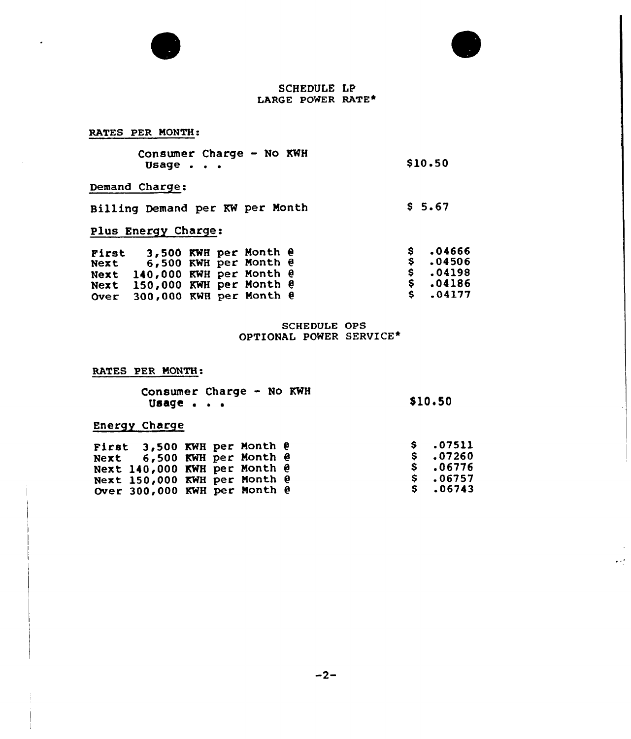



 $\mathcal{O}(\mathcal{E})$ 

## SCHEDULE LP LARGE POWER RATE+

# RATES PER MONTH:

| Consumer Charge - No KWH |  |  |         |
|--------------------------|--|--|---------|
| Usage $\blacksquare$     |  |  | \$10.50 |

# Demand Charge:

| Billing Demand per KW per Month |  |  | \$5.67 |
|---------------------------------|--|--|--------|

# Plus Energy Charge:

| First | Next $6,500$ KWH per Month $\theta$<br>Next 140,000 KWH per Month @ |  | 3,500 KWH per Month @ |  | $S = 04666$<br>$S = 04506$<br>\$.04198 |
|-------|---------------------------------------------------------------------|--|-----------------------|--|----------------------------------------|
|       | Next $150,000$ KWH per Month $\theta$                               |  |                       |  | \$ .04186                              |
|       | Over $300,000$ KWH per Month $\theta$                               |  |                       |  | $S \t .04177$                          |

# SCHEDULE OPS OPTIONAL POWER SERVICE\*

#### RATES PER MONTH:

|       | Consumer Charge - No KWH |         |
|-------|--------------------------|---------|
| Usage |                          | \$10.50 |

# Energy Charge

| First $3,500$ KWH per Month $\theta$<br>Next $6,500$ KWH per Month $\theta$<br>Next $140,000$ KWH per Month $\theta$<br>Next 150,000 KWH per Month @<br>Over 300,000 KWH per Month @ |  | \$ .07511<br>$S \t .07260$<br>S .06776<br>\$ .06757<br>$S \t .06743$ |
|--------------------------------------------------------------------------------------------------------------------------------------------------------------------------------------|--|----------------------------------------------------------------------|
|                                                                                                                                                                                      |  |                                                                      |